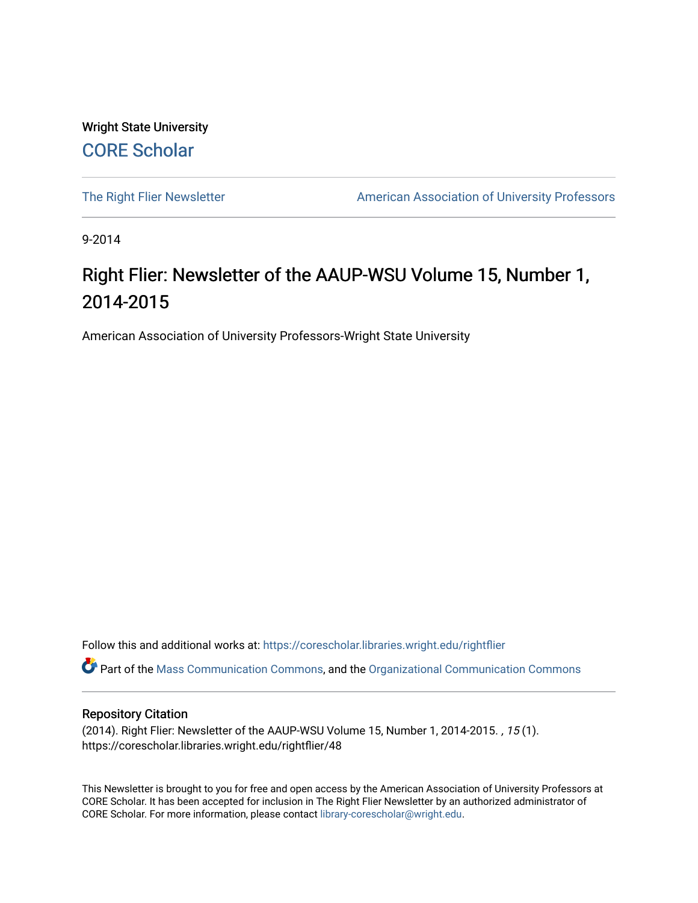Wright State University [CORE Scholar](https://corescholar.libraries.wright.edu/)

[The Right Flier Newsletter](https://corescholar.libraries.wright.edu/rightflier) **American Association of University Professors** 

9-2014

#### Right Flier: Newsletter of the AAUP-WSU Volume 15, Number 1, 2014-2015

American Association of University Professors-Wright State University

Follow this and additional works at: [https://corescholar.libraries.wright.edu/rightflier](https://corescholar.libraries.wright.edu/rightflier?utm_source=corescholar.libraries.wright.edu%2Frightflier%2F48&utm_medium=PDF&utm_campaign=PDFCoverPages) 

Part of the [Mass Communication Commons,](http://network.bepress.com/hgg/discipline/334?utm_source=corescholar.libraries.wright.edu%2Frightflier%2F48&utm_medium=PDF&utm_campaign=PDFCoverPages) and the [Organizational Communication Commons](http://network.bepress.com/hgg/discipline/335?utm_source=corescholar.libraries.wright.edu%2Frightflier%2F48&utm_medium=PDF&utm_campaign=PDFCoverPages) 

#### Repository Citation

(2014). Right Flier: Newsletter of the AAUP-WSU Volume 15, Number 1, 2014-2015. , 15 (1). https://corescholar.libraries.wright.edu/rightflier/48

This Newsletter is brought to you for free and open access by the American Association of University Professors at CORE Scholar. It has been accepted for inclusion in The Right Flier Newsletter by an authorized administrator of CORE Scholar. For more information, please contact [library-corescholar@wright.edu](mailto:library-corescholar@wright.edu).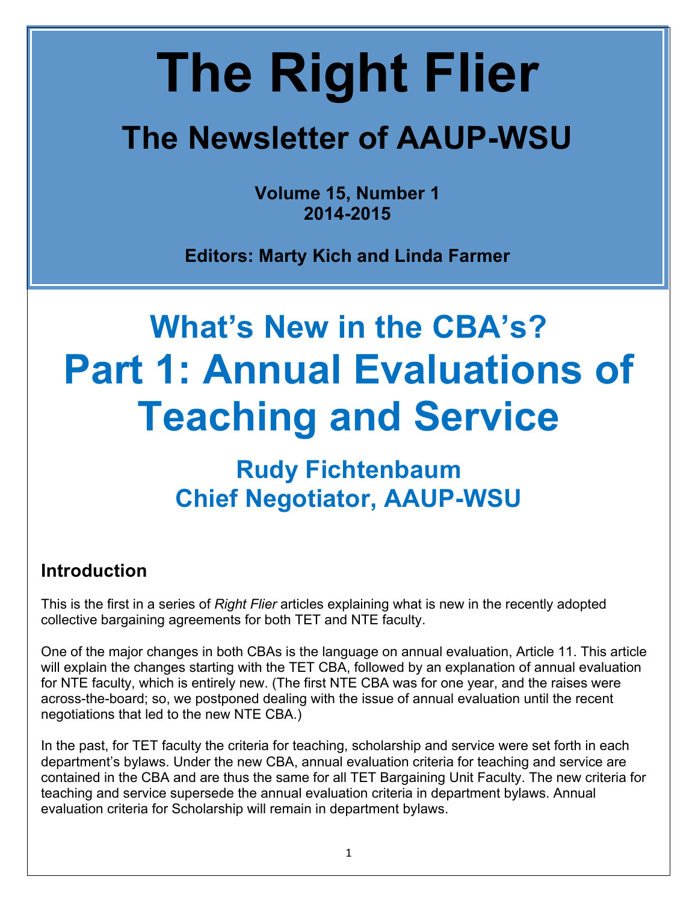# **The Right Flier**

## **The Newsletter of AAUP-WSU**

**Volume 15, Number 1 2014-2015**

**Editors: Marty Kich and Linda Farmer**

# **What's New in the CBA's? Part 1: Annual Evaluations of Teaching and Service**

### **Rudy Fichtenbaum Chief Negotiator, AAUP-WSU**

#### **Introduction**

This is the first in a series of *Right Flier* articles explaining what is new in the recently adopted collective bargaining agreements for both TET and NTE faculty.

One of the major changes in both CBAs is the language on annual evaluation, Article 11. This article will explain the changes starting with the TET CBA, followed by an explanation of annual evaluation for NTE faculty, which is entirely new. (The first NTE CBA was for one year, and the raises were across-the-board; so, we postponed dealing with the issue of annual evaluation until the recent negotiations that led to the new NTE CBA.)

In the past, for TET faculty the criteria for teaching, scholarship and service were set forth in each department's bylaws. Under the new CBA, annual evaluation criteria for teaching and service are contained in the CBA and are thus the same for all TET Bargaining Unit Faculty. The new criteria for teaching and service supersede the annual evaluation criteria in department bylaws. Annual evaluation criteria for Scholarship will remain in department bylaws.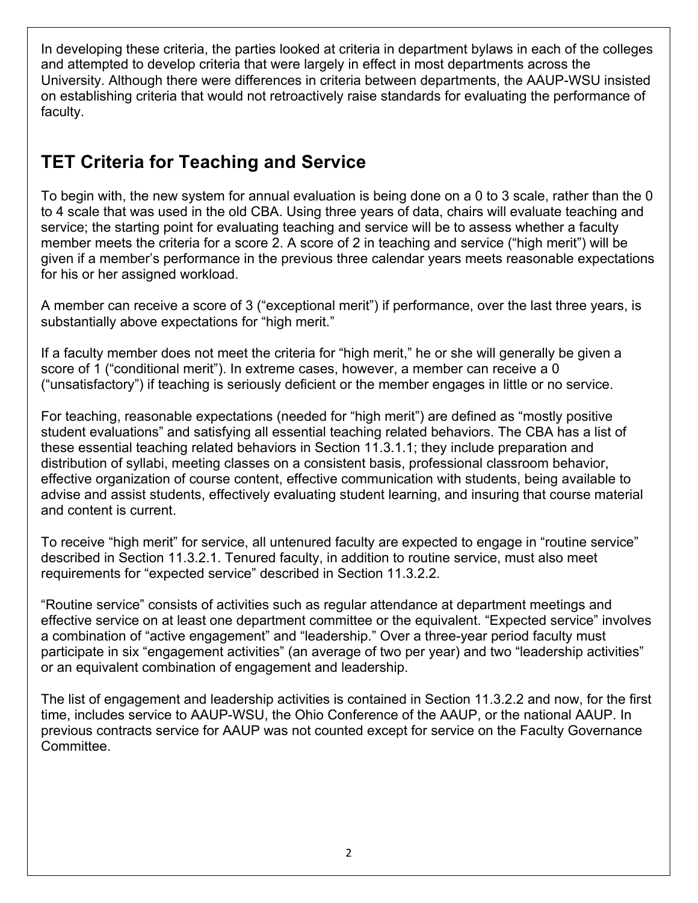In developing these criteria, the parties looked at criteria in department bylaws in each of the colleges and attempted to develop criteria that were largely in effect in most departments across the University. Although there were differences in criteria between departments, the AAUP-WSU insisted on establishing criteria that would not retroactively raise standards for evaluating the performance of faculty.

#### **TET Criteria for Teaching and Service**

To begin with, the new system for annual evaluation is being done on a 0 to 3 scale, rather than the 0 to 4 scale that was used in the old CBA. Using three years of data, chairs will evaluate teaching and service; the starting point for evaluating teaching and service will be to assess whether a faculty member meets the criteria for a score 2. A score of 2 in teaching and service ("high merit") will be given if a member's performance in the previous three calendar years meets reasonable expectations for his or her assigned workload.

A member can receive a score of 3 ("exceptional merit") if performance, over the last three years, is substantially above expectations for "high merit."

If a faculty member does not meet the criteria for "high merit," he or she will generally be given a score of 1 ("conditional merit"). In extreme cases, however, a member can receive a 0 ("unsatisfactory") if teaching is seriously deficient or the member engages in little or no service.

For teaching, reasonable expectations (needed for "high merit") are defined as "mostly positive student evaluations" and satisfying all essential teaching related behaviors. The CBA has a list of these essential teaching related behaviors in Section 11.3.1.1; they include preparation and distribution of syllabi, meeting classes on a consistent basis, professional classroom behavior, effective organization of course content, effective communication with students, being available to advise and assist students, effectively evaluating student learning, and insuring that course material and content is current.

To receive "high merit" for service, all untenured faculty are expected to engage in "routine service" described in Section 11.3.2.1. Tenured faculty, in addition to routine service, must also meet requirements for "expected service" described in Section 11.3.2.2.

"Routine service" consists of activities such as regular attendance at department meetings and effective service on at least one department committee or the equivalent. "Expected service" involves a combination of "active engagement" and "leadership." Over a three-year period faculty must participate in six "engagement activities" (an average of two per year) and two "leadership activities" or an equivalent combination of engagement and leadership.

The list of engagement and leadership activities is contained in Section 11.3.2.2 and now, for the first time, includes service to AAUP-WSU, the Ohio Conference of the AAUP, or the national AAUP. In previous contracts service for AAUP was not counted except for service on the Faculty Governance Committee.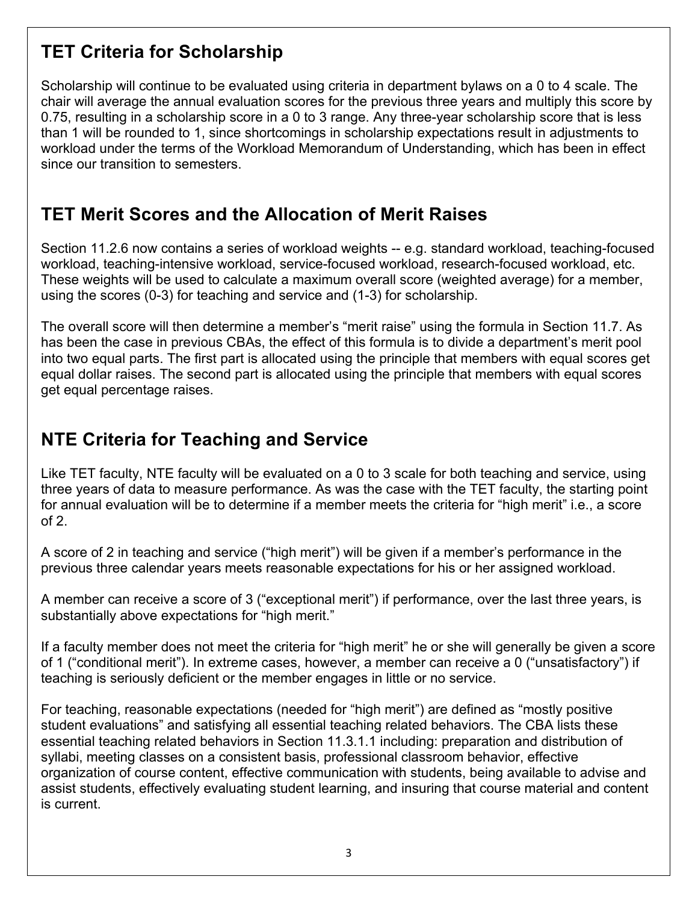#### **TET Criteria for Scholarship**

Scholarship will continue to be evaluated using criteria in department bylaws on a 0 to 4 scale. The chair will average the annual evaluation scores for the previous three years and multiply this score by 0.75, resulting in a scholarship score in a 0 to 3 range. Any three-year scholarship score that is less than 1 will be rounded to 1, since shortcomings in scholarship expectations result in adjustments to workload under the terms of the Workload Memorandum of Understanding, which has been in effect since our transition to semesters.

#### **TET Merit Scores and the Allocation of Merit Raises**

Section 11.2.6 now contains a series of workload weights -- e.g. standard workload, teaching-focused workload, teaching-intensive workload, service-focused workload, research-focused workload, etc. These weights will be used to calculate a maximum overall score (weighted average) for a member, using the scores (0-3) for teaching and service and (1-3) for scholarship.

The overall score will then determine a member's "merit raise" using the formula in Section 11.7. As has been the case in previous CBAs, the effect of this formula is to divide a department's merit pool into two equal parts. The first part is allocated using the principle that members with equal scores get equal dollar raises. The second part is allocated using the principle that members with equal scores get equal percentage raises.

#### **NTE Criteria for Teaching and Service**

Like TET faculty, NTE faculty will be evaluated on a 0 to 3 scale for both teaching and service, using three years of data to measure performance. As was the case with the TET faculty, the starting point for annual evaluation will be to determine if a member meets the criteria for "high merit" i.e., a score of 2.

A score of 2 in teaching and service ("high merit") will be given if a member's performance in the previous three calendar years meets reasonable expectations for his or her assigned workload.

A member can receive a score of 3 ("exceptional merit") if performance, over the last three years, is substantially above expectations for "high merit."

If a faculty member does not meet the criteria for "high merit" he or she will generally be given a score of 1 ("conditional merit"). In extreme cases, however, a member can receive a 0 ("unsatisfactory") if teaching is seriously deficient or the member engages in little or no service.

For teaching, reasonable expectations (needed for "high merit") are defined as "mostly positive student evaluations" and satisfying all essential teaching related behaviors. The CBA lists these essential teaching related behaviors in Section 11.3.1.1 including: preparation and distribution of syllabi, meeting classes on a consistent basis, professional classroom behavior, effective organization of course content, effective communication with students, being available to advise and assist students, effectively evaluating student learning, and insuring that course material and content is current.